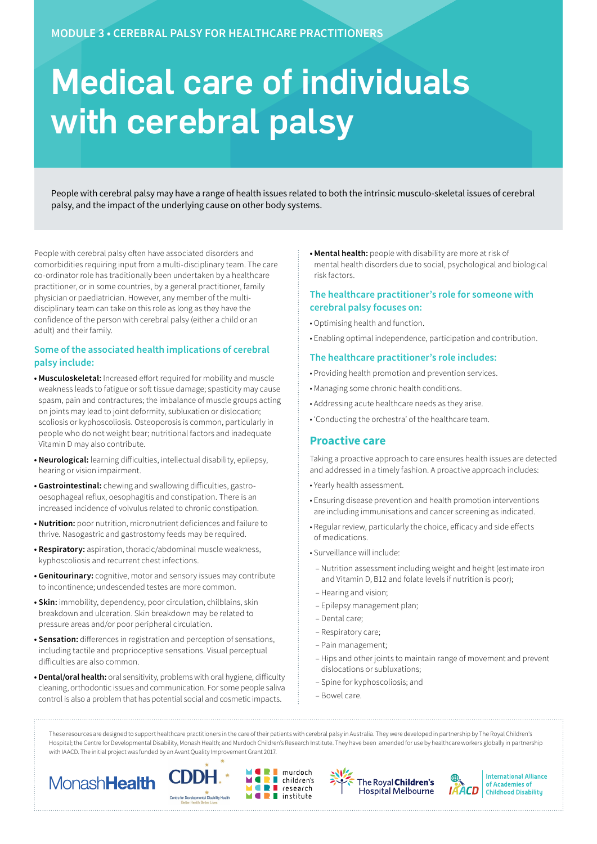# Medical care of individuals with cerebral palsy

People with cerebral palsy may have a range of health issues related to both the intrinsic musculo-skeletal issues of cerebral palsy, and the impact of the underlying cause on other body systems.

People with cerebral palsy often have associated disorders and comorbidities requiring input from a multi-disciplinary team. The care co-ordinator role has traditionally been undertaken by a healthcare practitioner, or in some countries, by a general practitioner, family physician or paediatrician. However, any member of the multidisciplinary team can take on this role as long as they have the confidence of the person with cerebral palsy (either a child or an adult) and their family.

## **Some of the associated health implications of cerebral palsy include:**

- **Musculoskeletal:** Increased effort required for mobility and muscle weakness leads to fatigue or soft tissue damage; spasticity may cause spasm, pain and contractures; the imbalance of muscle groups acting on joints may lead to joint deformity, subluxation or dislocation; scoliosis or kyphoscoliosis. Osteoporosis is common, particularly in people who do not weight bear; nutritional factors and inadequate Vitamin D may also contribute.
- **Neurological:** learning difficulties, intellectual disability, epilepsy, hearing or vision impairment.
- **Gastrointestinal:** chewing and swallowing difficulties, gastrooesophageal reflux, oesophagitis and constipation. There is an increased incidence of volvulus related to chronic constipation.
- **Nutrition:** poor nutrition, micronutrient deficiences and failure to thrive. Nasogastric and gastrostomy feeds may be required.
- **Respiratory:** aspiration, thoracic/abdominal muscle weakness, kyphoscoliosis and recurrent chest infections.
- **Genitourinary:** cognitive, motor and sensory issues may contribute to incontinence; undescended testes are more common.
- **Skin:** immobility, dependency, poor circulation, chilblains, skin breakdown and ulceration. Skin breakdown may be related to pressure areas and/or poor peripheral circulation.
- **Sensation:** differences in registration and perception of sensations, including tactile and proprioceptive sensations. Visual perceptual difficulties are also common.
- **Dental/oral health:** oral sensitivity, problems with oral hygiene, difficulty cleaning, orthodontic issues and communication. For some people saliva control is also a problem that has potential social and cosmetic impacts.

**• Mental health:** people with disability are more at risk of mental health disorders due to social, psychological and biological risk factors.

### **The healthcare practitioner's role for someone with cerebral palsy focuses on:**

- Optimising health and function.
- Enabling optimal independence, participation and contribution.

#### **The healthcare practitioner's role includes:**

- Providing health promotion and prevention services.
- Managing some chronic health conditions.
- Addressing acute healthcare needs as they arise.
- 'Conducting the orchestra' of the healthcare team.

## **Proactive care**

Taking a proactive approach to care ensures health issues are detected and addressed in a timely fashion. A proactive approach includes:

- Yearly health assessment.
- Ensuring disease prevention and health promotion interventions are including immunisations and cancer screening as indicated.
- Regular review, particularly the choice, efficacy and side effects of medications.
- Surveillance will include:
	- Nutrition assessment including weight and height (estimate iron and Vitamin D, B12 and folate levels if nutrition is poor);
	- Hearing and vision;
	- Epilepsy management plan;
	- Dental care;
	- Respiratory care;
	- Pain management;
	- Hips and other joints to maintain range of movement and prevent dislocations or subluxations;
	- Spine for kyphoscoliosis; and
	- Bowel care.

These resources are designed to support healthcare practitioners in the care of their patients with cerebral palsy in Australia. They were developed in partnership by The Royal Children's Hospital; the Centre for Developmental Disability, Monash Health; and Murdoch Children's Research Institute. They have been amended for use by healthcare workers globally in partnership with IAACD. The initial project was funded by an Avant Quality Improvement Grant 2017.

murdoch

 $\blacksquare$  institute

research

÷









**International Alliance** of Academies of **Childhood Disability**